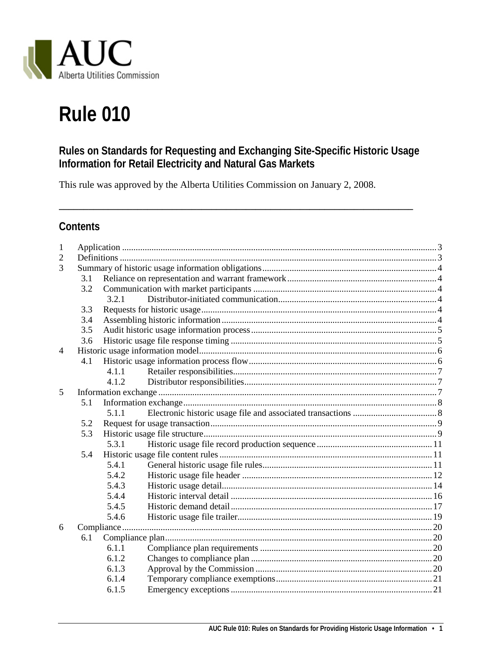

# **Rule 010**

# Rules on Standards for Requesting and Exchanging Site-Specific Historic Usage Information for Retail Electricity and Natural Gas Markets

This rule was approved by the Alberta Utilities Commission on January 2, 2008.

# **Contents**

| 1              |     |       |  |  |  |  |
|----------------|-----|-------|--|--|--|--|
| 2              |     |       |  |  |  |  |
| 3              |     |       |  |  |  |  |
|                | 3.1 |       |  |  |  |  |
|                | 3.2 |       |  |  |  |  |
|                |     | 321   |  |  |  |  |
|                | 3.3 |       |  |  |  |  |
|                | 3.4 |       |  |  |  |  |
|                | 3.5 |       |  |  |  |  |
|                | 3.6 |       |  |  |  |  |
| $\overline{4}$ |     |       |  |  |  |  |
|                | 4.1 |       |  |  |  |  |
|                |     | 4.1.1 |  |  |  |  |
|                |     | 4.1.2 |  |  |  |  |
| 5              |     |       |  |  |  |  |
|                | 5.1 |       |  |  |  |  |
|                |     | 5.1.1 |  |  |  |  |
|                | 5.2 |       |  |  |  |  |
|                | 5.3 |       |  |  |  |  |
|                |     | 5.3.1 |  |  |  |  |
|                | 5.4 |       |  |  |  |  |
|                |     | 5.4.1 |  |  |  |  |
|                |     | 5.4.2 |  |  |  |  |
|                |     | 5.4.3 |  |  |  |  |
|                |     | 5.4.4 |  |  |  |  |
|                |     | 5.4.5 |  |  |  |  |
|                |     | 5.4.6 |  |  |  |  |
| 6              |     |       |  |  |  |  |
|                | 6.1 |       |  |  |  |  |
|                |     | 6.1.1 |  |  |  |  |
|                |     | 6.1.2 |  |  |  |  |
|                |     | 6.1.3 |  |  |  |  |
|                |     | 6.1.4 |  |  |  |  |
|                |     | 6.1.5 |  |  |  |  |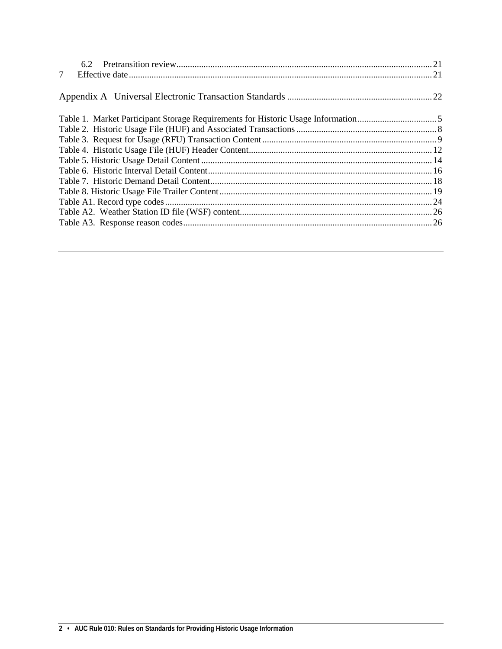| $7\overline{ }$ |  |
|-----------------|--|
|                 |  |
|                 |  |
|                 |  |
|                 |  |
|                 |  |
|                 |  |
|                 |  |
|                 |  |
|                 |  |
|                 |  |
|                 |  |
|                 |  |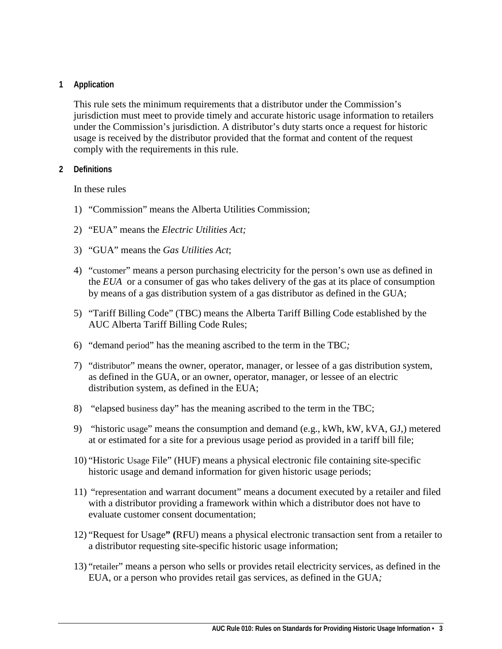#### <span id="page-2-0"></span>**1 Application**

This rule sets the minimum requirements that a distributor under the Commission's jurisdiction must meet to provide timely and accurate historic usage information to retailers under the Commission's jurisdiction. A distributor's duty starts once a request for historic usage is received by the distributor provided that the format and content of the request comply with the requirements in this rule.

#### <span id="page-2-1"></span>**2 Definitions**

In these rules

- 1) "Commission" means the Alberta Utilities Commission;
- 2) "EUA" means the *Electric Utilities Act;*
- 3) "GUA" means the *Gas Utilities Act*;
- 4) "customer" means a person purchasing electricity for the person's own use as defined in the *EUA* or a consumer of gas who takes delivery of the gas at its place of consumption by means of a gas distribution system of a gas distributor as defined in the GUA;
- 5) "Tariff Billing Code" (TBC) means the Alberta Tariff Billing Code established by the AUC Alberta Tariff Billing Code Rules;
- 6) "demand period" has the meaning ascribed to the term in the TBC*;*
- 7) "distributor" means the owner, operator, manager, or lessee of a gas distribution system, as defined in the GUA*,* or an owner, operator, manager, or lessee of an electric distribution system, as defined in the EUA;
- 8) "elapsed business day" has the meaning ascribed to the term in the TBC;
- 9) "historic usage" means the consumption and demand (e.g., kWh, kW, kVA, GJ,) metered at or estimated for a site for a previous usage period as provided in a tariff bill file;
- 10) "Historic Usage File" (HUF) means a physical electronic file containing site-specific historic usage and demand information for given historic usage periods;
- 11) "representation and warrant document" means a document executed by a retailer and filed with a distributor providing a framework within which a distributor does not have to evaluate customer consent documentation;
- 12) "Request for Usage**" (**RFU) means a physical electronic transaction sent from a retailer to a distributor requesting site-specific historic usage information;
- 13) "retailer" means a person who sells or provides retail electricity services, as defined in the EUA, or a person who provides retail gas services, as defined in the GUA*;*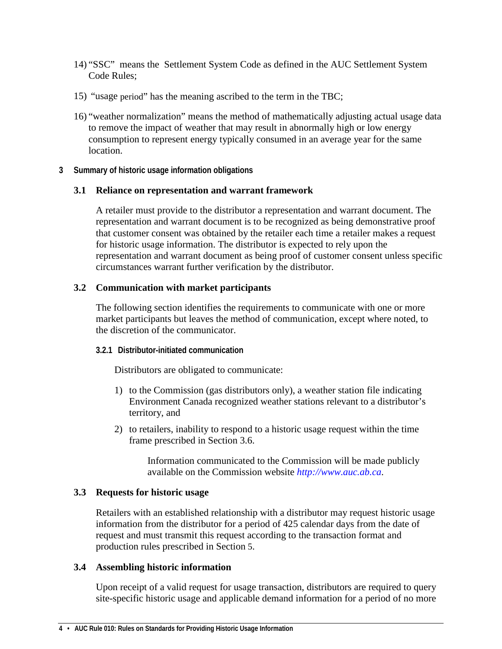- 14) "SSC" means the Settlement System Code as defined in the AUC Settlement System Code Rules;
- 15) "usage period" has the meaning ascribed to the term in the TBC;
- 16) "weather normalization" means the method of mathematically adjusting actual usage data to remove the impact of weather that may result in abnormally high or low energy consumption to represent energy typically consumed in an average year for the same location.
- <span id="page-3-0"></span>**3 Summary of historic usage information obligations**

#### <span id="page-3-1"></span>**3.1 Reliance on representation and warrant framework**

A retailer must provide to the distributor a representation and warrant document. The representation and warrant document is to be recognized as being demonstrative proof that customer consent was obtained by the retailer each time a retailer makes a request for historic usage information. The distributor is expected to rely upon the representation and warrant document as being proof of customer consent unless specific circumstances warrant further verification by the distributor.

#### <span id="page-3-2"></span>**3.2 Communication with market participants**

The following section identifies the requirements to communicate with one or more market participants but leaves the method of communication, except where noted, to the discretion of the communicator.

#### <span id="page-3-3"></span>**3.2.1 Distributor-initiated communication**

Distributors are obligated to communicate:

- 1) to the Commission (gas distributors only), a weather station file indicating Environment Canada recognized weather stations relevant to a distributor's territory, and
- 2) to retailers, inability to respond to a historic usage request within the time frame prescribed in Section [3.6.](#page-4-1)

Information communicated to the Commission will be made publicly available on the Commission website *[http://www.auc.ab.ca](http://www.auc.ab.ca/)*.

#### <span id="page-3-4"></span>**3.3 Requests for historic usage**

Retailers with an established relationship with a distributor may request historic usage information from the distributor for a period of 425 calendar days from the date of request and must transmit this request according to the transaction format and production rules prescribed in Section 5.

#### <span id="page-3-5"></span>**3.4 Assembling historic information**

Upon receipt of a valid request for usage transaction, distributors are required to query site-specific historic usage and applicable demand information for a period of no more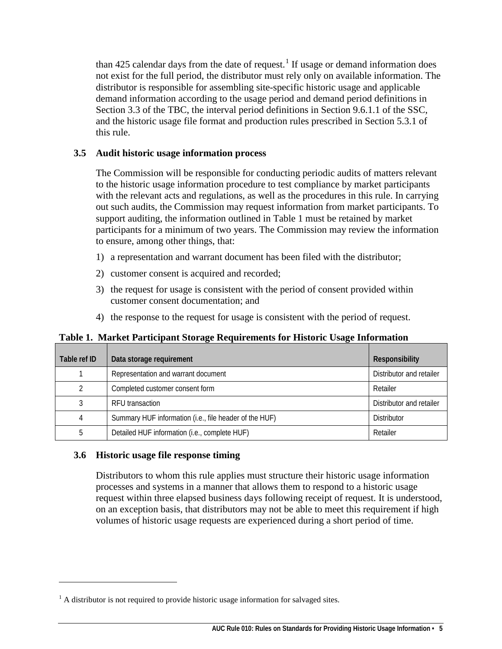than  $425$  calendar days from the date of request.<sup>[1](#page-4-3)</sup> If usage or demand information does not exist for the full period, the distributor must rely only on available information. The distributor is responsible for assembling site-specific historic usage and applicable demand information according to the usage period and demand period definitions in Section 3.3 of the TBC, the interval period definitions in Section 9.6.1.1 of the SSC, and the historic usage file format and production rules prescribed in Section [5.3.1](#page-9-0) of this rule.

#### <span id="page-4-0"></span>**3.5 Audit historic usage information process**

The Commission will be responsible for conducting periodic audits of matters relevant to the historic usage information procedure to test compliance by market participants with the relevant acts and regulations, as well as the procedures in this rule. In carrying out such audits, the Commission may request information from market participants. To support auditing, the information outlined in Table 1 must be retained by market participants for a minimum of two years. The Commission may review the information to ensure, among other things, that:

- 1) a representation and warrant document has been filed with the distributor;
- 2) customer consent is acquired and recorded;
- 3) the request for usage is consistent with the period of consent provided within customer consent documentation; and
- 4) the response to the request for usage is consistent with the period of request.

### <span id="page-4-2"></span>**Table 1. Market Participant Storage Requirements for Historic Usage Information**

| Table ref ID | Data storage requirement                               | Responsibility           |
|--------------|--------------------------------------------------------|--------------------------|
|              | Representation and warrant document                    | Distributor and retailer |
|              | Completed customer consent form                        | Retailer                 |
|              | RFU transaction                                        | Distributor and retailer |
|              | Summary HUF information (i.e., file header of the HUF) | Distributor              |
|              | Detailed HUF information (i.e., complete HUF)          | Retailer                 |

### <span id="page-4-1"></span>**3.6 Historic usage file response timing**

 $\overline{a}$ 

Distributors to whom this rule applies must structure their historic usage information processes and systems in a manner that allows them to respond to a historic usage request within three elapsed business days following receipt of request. It is understood, on an exception basis, that distributors may not be able to meet this requirement if high volumes of historic usage requests are experienced during a short period of time.

<span id="page-4-3"></span> $<sup>1</sup>$  A distributor is not required to provide historic usage information for salvaged sites.</sup>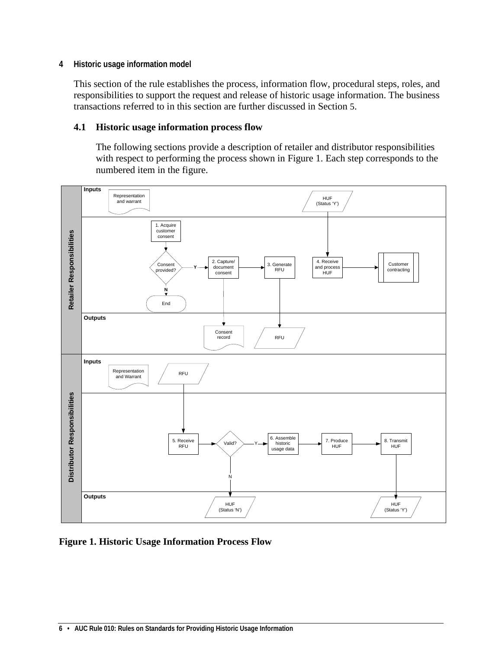#### <span id="page-5-0"></span>**4 Historic usage information model**

This section of the rule establishes the process, information flow, procedural steps, roles, and responsibilities to support the request and release of historic usage information. The business transactions referred to in this section are further discussed in Section [5.](#page-6-2)

#### <span id="page-5-1"></span>**4.1 Historic usage information process flow**

The following sections provide a description of retailer and distributor responsibilities with respect to performing the process shown in Figure 1. Each step corresponds to the numbered item in the figure.



**Figure 1. Historic Usage Information Process Flow**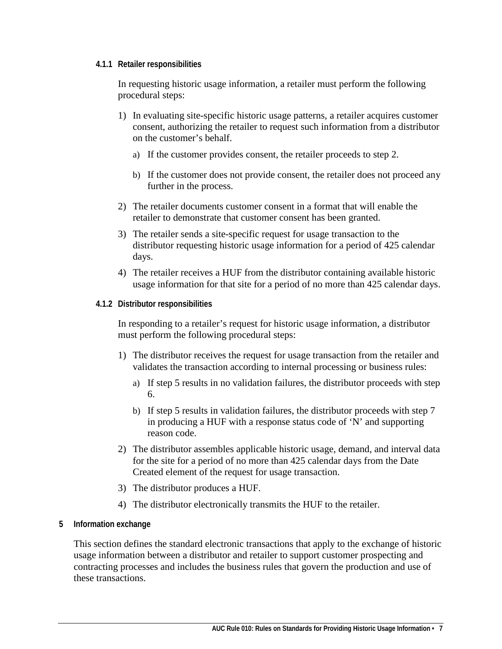#### <span id="page-6-0"></span>**4.1.1 Retailer responsibilities**

In requesting historic usage information, a retailer must perform the following procedural steps:

- 1) In evaluating site-specific historic usage patterns, a retailer acquires customer consent, authorizing the retailer to request such information from a distributor on the customer's behalf.
	- a) If the customer provides consent, the retailer proceeds to step 2.
	- b) If the customer does not provide consent, the retailer does not proceed any further in the process.
- 2) The retailer documents customer consent in a format that will enable the retailer to demonstrate that customer consent has been granted.
- 3) The retailer sends a site-specific request for usage transaction to the distributor requesting historic usage information for a period of 425 calendar days.
- 4) The retailer receives a HUF from the distributor containing available historic usage information for that site for a period of no more than 425 calendar days.
- <span id="page-6-1"></span>**4.1.2 Distributor responsibilities**

In responding to a retailer's request for historic usage information, a distributor must perform the following procedural steps:

- 1) The distributor receives the request for usage transaction from the retailer and validates the transaction according to internal processing or business rules:
	- a) If step 5 results in no validation failures, the distributor proceeds with step 6.
	- b) If step 5 results in validation failures, the distributor proceeds with step 7 in producing a HUF with a response status code of 'N' and supporting reason code.
- 2) The distributor assembles applicable historic usage, demand, and interval data for the site for a period of no more than 425 calendar days from the Date Created element of the request for usage transaction.
- 3) The distributor produces a HUF.
- 4) The distributor electronically transmits the HUF to the retailer.
- <span id="page-6-2"></span>**5 Information exchange**

This section defines the standard electronic transactions that apply to the exchange of historic usage information between a distributor and retailer to support customer prospecting and contracting processes and includes the business rules that govern the production and use of these transactions.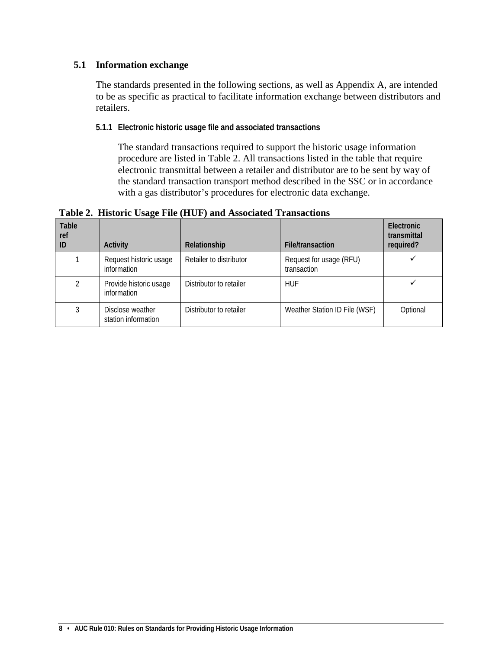### <span id="page-7-0"></span>**5.1 Information exchange**

The standards presented in the following sections, as well as Appendix A, are intended to be as specific as practical to facilitate information exchange between distributors and retailers.

<span id="page-7-1"></span>**5.1.1 Electronic historic usage file and associated transactions**

The standard transactions required to support the historic usage information procedure are listed in Table 2. All transactions listed in the table that require electronic transmittal between a retailer and distributor are to be sent by way of the standard transaction transport method described in the SSC or in accordance with a gas distributor's procedures for electronic data exchange.

<span id="page-7-2"></span>**Table 2. Historic Usage File (HUF) and Associated Transactions**

| Table<br>ref<br>ID | Activity                                | Relationship            | <b>File/transaction</b>                | Electronic<br>transmittal<br>required? |
|--------------------|-----------------------------------------|-------------------------|----------------------------------------|----------------------------------------|
|                    | Request historic usage<br>information   | Retailer to distributor | Request for usage (RFU)<br>transaction |                                        |
| 2                  | Provide historic usage<br>information   | Distributor to retailer | <b>HUF</b>                             |                                        |
| 3                  | Disclose weather<br>station information | Distributor to retailer | Weather Station ID File (WSF)          | Optional                               |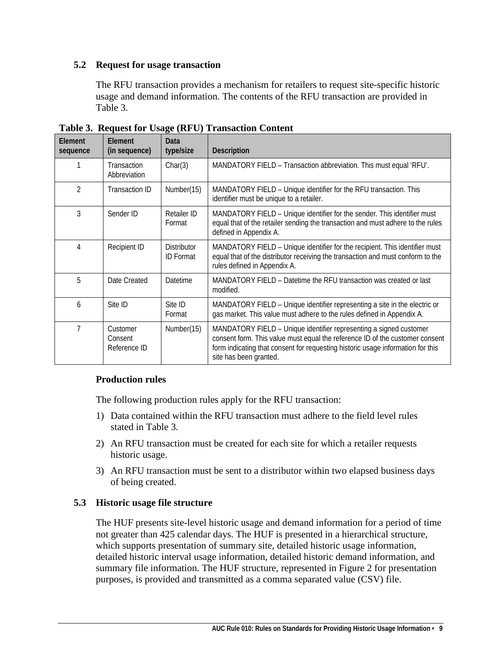#### <span id="page-8-0"></span>**5.2 Request for usage transaction**

The RFU transaction provides a mechanism for retailers to request site-specific historic usage and demand information. The contents of the RFU transaction are provided in Table 3.

| Element<br>sequence | <b>Flement</b><br>(in sequence)     | Data<br>type/size                      | <b>Description</b>                                                                                                                                                                                                                                              |
|---------------------|-------------------------------------|----------------------------------------|-----------------------------------------------------------------------------------------------------------------------------------------------------------------------------------------------------------------------------------------------------------------|
|                     | Transaction<br>Abbreviation         | Char(3)                                | MANDATORY FIELD - Transaction abbreviation. This must equal 'RFU'.                                                                                                                                                                                              |
| $\mathfrak{D}$      | <b>Transaction ID</b>               | Number(15)                             | MANDATORY FIELD - Unique identifier for the RFU transaction. This<br>identifier must be unique to a retailer.                                                                                                                                                   |
| 3                   | Sender ID                           | Retailer ID<br>Format                  | MANDATORY FIELD - Unique identifier for the sender. This identifier must<br>equal that of the retailer sending the transaction and must adhere to the rules<br>defined in Appendix A.                                                                           |
| 4                   | Recipient ID                        | <b>Distributor</b><br><b>ID Format</b> | MANDATORY FIELD – Unique identifier for the recipient. This identifier must<br>equal that of the distributor receiving the transaction and must conform to the<br>rules defined in Appendix A.                                                                  |
| 5                   | Date Created                        | <b>Datetime</b>                        | MANDATORY FIELD – Datetime the RFU transaction was created or last<br>modified.                                                                                                                                                                                 |
| 6                   | Site ID                             | Site ID<br>Format                      | MANDATORY FIELD - Unique identifier representing a site in the electric or<br>gas market. This value must adhere to the rules defined in Appendix A.                                                                                                            |
| 7                   | Customer<br>Consent<br>Reference ID | Number(15)                             | MANDATORY FIELD - Unique identifier representing a signed customer<br>consent form. This value must equal the reference ID of the customer consent<br>form indicating that consent for requesting historic usage information for this<br>site has been granted. |

<span id="page-8-2"></span>**Table 3. Request for Usage (RFU) Transaction Content**

### **Production rules**

The following production rules apply for the RFU transaction:

- 1) Data contained within the RFU transaction must adhere to the field level rules stated in Table 3.
- 2) An RFU transaction must be created for each site for which a retailer requests historic usage.
- 3) An RFU transaction must be sent to a distributor within two elapsed business days of being created.

#### <span id="page-8-1"></span>**5.3 Historic usage file structure**

The HUF presents site-level historic usage and demand information for a period of time not greater than 425 calendar days. The HUF is presented in a hierarchical structure, which supports presentation of summary site, detailed historic usage information, detailed historic interval usage information, detailed historic demand information, and summary file information. The HUF structure, represented in Figure 2 for presentation purposes, is provided and transmitted as a comma separated value (CSV) file.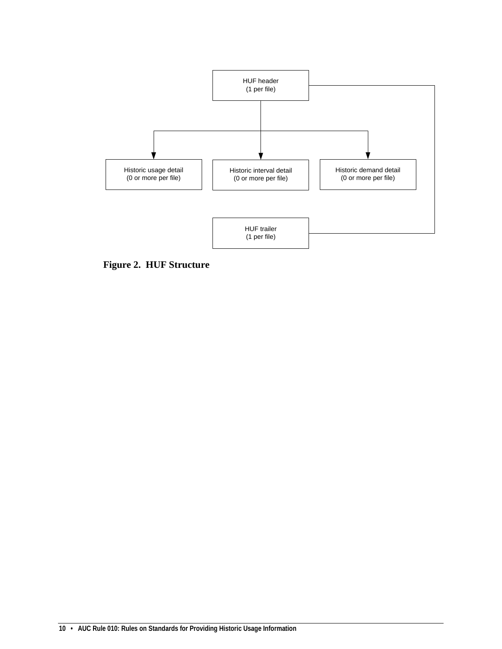

<span id="page-9-0"></span>**Figure 2. HUF Structure**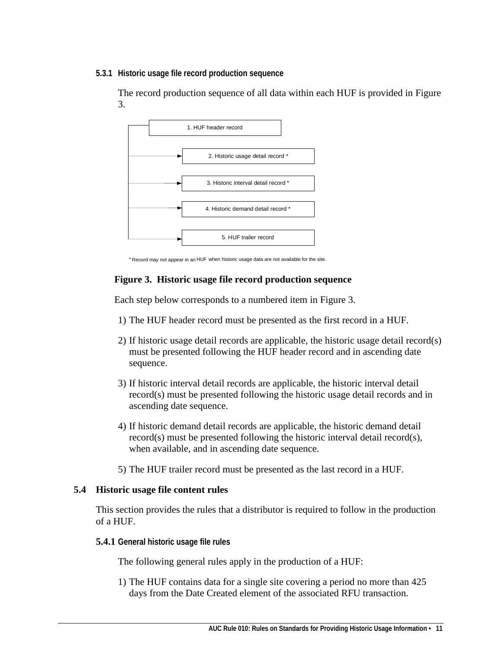#### <span id="page-10-0"></span>**5.3.1 Historic usage file record production sequence**

The record production sequence of all data within each HUF is provided in Figure 3.



\* Record may not appear in an HUF when historic usage data are not available for the site.

### **Figure 3. Historic usage file record production sequence**

Each step below corresponds to a numbered item in Figure 3.

- 1) The HUF header record must be presented as the first record in a HUF.
- 2) If historic usage detail records are applicable, the historic usage detail record(s) must be presented following the HUF header record and in ascending date sequence.
- 3) If historic interval detail records are applicable, the historic interval detail record(s) must be presented following the historic usage detail records and in ascending date sequence.
- 4) If historic demand detail records are applicable, the historic demand detail record(s) must be presented following the historic interval detail record(s), when available, and in ascending date sequence.
- 5) The HUF trailer record must be presented as the last record in a HUF.

### <span id="page-10-1"></span>**5.4 Historic usage file content rules**

This section provides the rules that a distributor is required to follow in the production of a HUF.

### <span id="page-10-2"></span>**5.4.1 General historic usage file rules**

The following general rules apply in the production of a HUF:

1) The HUF contains data for a single site covering a period no more than 425 days from the Date Created element of the associated RFU transaction.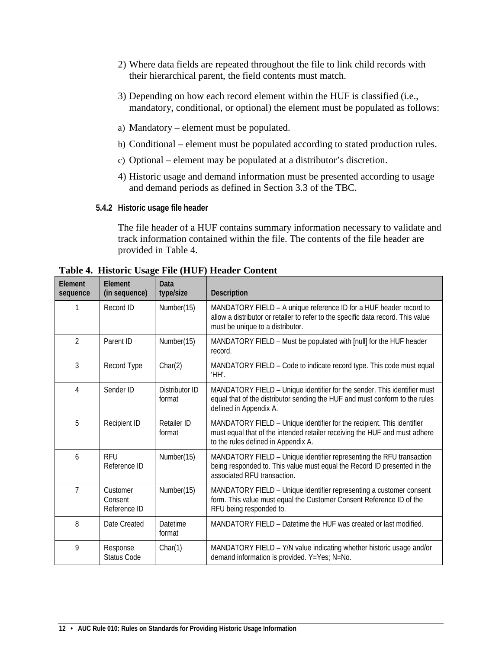- 2) Where data fields are repeated throughout the file to link child records with their hierarchical parent, the field contents must match.
- 3) Depending on how each record element within the HUF is classified (i.e., mandatory, conditional, or optional) the element must be populated as follows:
- a) Mandatory element must be populated.
- b) Conditional element must be populated according to stated production rules.
- c) Optional element may be populated at a distributor's discretion.
- 4) Historic usage and demand information must be presented according to usage and demand periods as defined in Section 3.3 of the TBC.
- <span id="page-11-0"></span>**5.4.2 Historic usage file header**

The file header of a HUF contains summary information necessary to validate and track information contained within the file. The contents of the file header are provided in Table 4.

| Element<br>sequence | Element<br>(in sequence)            | Data<br>type/size        | <b>Description</b>                                                                                                                                                                          |
|---------------------|-------------------------------------|--------------------------|---------------------------------------------------------------------------------------------------------------------------------------------------------------------------------------------|
| 1                   | Record ID                           | Number(15)               | MANDATORY FIELD - A unique reference ID for a HUF header record to<br>allow a distributor or retailer to refer to the specific data record. This value<br>must be unique to a distributor.  |
| $\overline{2}$      | Parent ID                           | Number(15)               | MANDATORY FIELD - Must be populated with [null] for the HUF header<br>record.                                                                                                               |
| 3                   | Record Type                         | Char(2)                  | MANDATORY FIELD - Code to indicate record type. This code must equal<br>ΉH΄.                                                                                                                |
| 4                   | Sender ID                           | Distributor ID<br>format | MANDATORY FIELD - Unique identifier for the sender. This identifier must<br>equal that of the distributor sending the HUF and must conform to the rules<br>defined in Appendix A.           |
| 5                   | Recipient ID                        | Retailer ID<br>format    | MANDATORY FIELD - Unique identifier for the recipient. This identifier<br>must equal that of the intended retailer receiving the HUF and must adhere<br>to the rules defined in Appendix A. |
| 6                   | RFU<br>Reference ID                 | Number(15)               | MANDATORY FIELD - Unique identifier representing the RFU transaction<br>being responded to. This value must equal the Record ID presented in the<br>associated RFU transaction.             |
| 7                   | Customer<br>Consent<br>Reference ID | Number(15)               | MANDATORY FIELD - Unique identifier representing a customer consent<br>form. This value must equal the Customer Consent Reference ID of the<br>RFU being responded to.                      |
| 8                   | Date Created                        | Datetime<br>format       | MANDATORY FIELD – Datetime the HUF was created or last modified.                                                                                                                            |
| 9                   | Response<br><b>Status Code</b>      | Char(1)                  | MANDATORY FIELD - Y/N value indicating whether historic usage and/or<br>demand information is provided. Y=Yes; N=No.                                                                        |

<span id="page-11-1"></span>**Table 4. Historic Usage File (HUF) Header Content**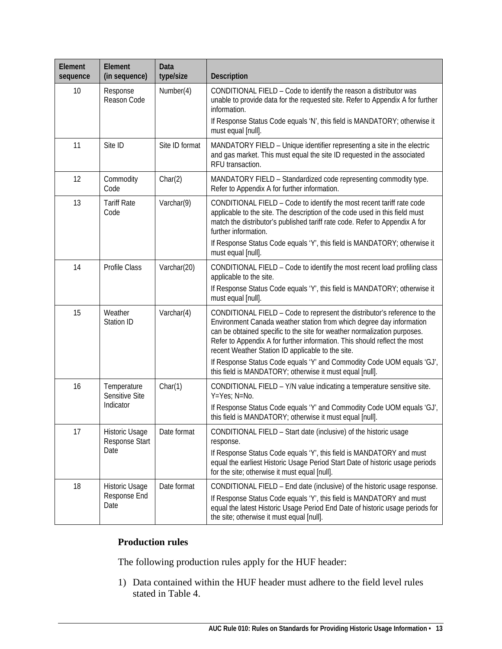| Element<br>sequence | Element<br>(in sequence)         | Data<br>type/size | Description                                                                                                                                                                                                                                                                                                                                                    |
|---------------------|----------------------------------|-------------------|----------------------------------------------------------------------------------------------------------------------------------------------------------------------------------------------------------------------------------------------------------------------------------------------------------------------------------------------------------------|
| 10                  | Response<br>Reason Code          | Number(4)         | CONDITIONAL FIELD - Code to identify the reason a distributor was<br>unable to provide data for the requested site. Refer to Appendix A for further<br>information.<br>If Response Status Code equals 'N', this field is MANDATORY; otherwise it                                                                                                               |
|                     |                                  |                   | must equal [null].                                                                                                                                                                                                                                                                                                                                             |
| 11                  | Site ID                          | Site ID format    | MANDATORY FIELD - Unique identifier representing a site in the electric<br>and gas market. This must equal the site ID requested in the associated<br>RFU transaction.                                                                                                                                                                                         |
| 12                  | Commodity<br>Code                | Char(2)           | MANDATORY FIELD - Standardized code representing commodity type.<br>Refer to Appendix A for further information.                                                                                                                                                                                                                                               |
| 13                  | <b>Tariff Rate</b><br>Code       | Varchar(9)        | CONDITIONAL FIELD - Code to identify the most recent tariff rate code<br>applicable to the site. The description of the code used in this field must<br>match the distributor's published tariff rate code. Refer to Appendix A for<br>further information.                                                                                                    |
|                     |                                  |                   | If Response Status Code equals 'Y', this field is MANDATORY; otherwise it<br>must equal [null].                                                                                                                                                                                                                                                                |
| 14                  | Profile Class                    | Varchar(20)       | CONDITIONAL FIELD - Code to identify the most recent load profiling class<br>applicable to the site.<br>If Response Status Code equals 'Y', this field is MANDATORY; otherwise it<br>must equal [null].                                                                                                                                                        |
| 15                  | Weather<br>Station ID            | Varchar(4)        | CONDITIONAL FIELD - Code to represent the distributor's reference to the<br>Environment Canada weather station from which degree day information<br>can be obtained specific to the site for weather normalization purposes.<br>Refer to Appendix A for further information. This should reflect the most<br>recent Weather Station ID applicable to the site. |
|                     |                                  |                   | If Response Status Code equals 'Y' and Commodity Code UOM equals 'GJ',<br>this field is MANDATORY; otherwise it must equal [null].                                                                                                                                                                                                                             |
| 16                  | Temperature<br>Sensitive Site    | Char(1)           | CONDITIONAL FIELD - Y/N value indicating a temperature sensitive site.<br>Y=Yes; N=No.                                                                                                                                                                                                                                                                         |
|                     | Indicator                        |                   | If Response Status Code equals 'Y' and Commodity Code UOM equals 'GJ',<br>this field is MANDATORY; otherwise it must equal [null].                                                                                                                                                                                                                             |
| 17                  | Historic Usage<br>Response Start | Date format       | CONDITIONAL FIELD - Start date (inclusive) of the historic usage<br>response.                                                                                                                                                                                                                                                                                  |
|                     | Date                             |                   | If Response Status Code equals 'Y', this field is MANDATORY and must<br>equal the earliest Historic Usage Period Start Date of historic usage periods<br>for the site; otherwise it must equal [null].                                                                                                                                                         |
| 18                  | Historic Usage                   | Date format       | CONDITIONAL FIELD - End date (inclusive) of the historic usage response.                                                                                                                                                                                                                                                                                       |
|                     | Response End<br>Date             |                   | If Response Status Code equals 'Y', this field is MANDATORY and must<br>equal the latest Historic Usage Period End Date of historic usage periods for<br>the site; otherwise it must equal [null].                                                                                                                                                             |

## **Production rules**

The following production rules apply for the HUF header:

1) Data contained within the HUF header must adhere to the field level rules stated in Table 4.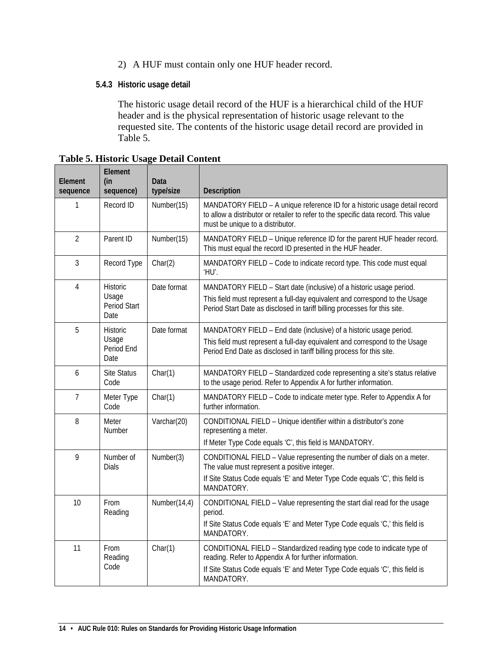- 2) A HUF must contain only one HUF header record.
- <span id="page-13-0"></span>**5.4.3 Historic usage detail**

The historic usage detail record of the HUF is a hierarchical child of the HUF header and is the physical representation of historic usage relevant to the requested site. The contents of the historic usage detail record are provided in Table 5.

| <b>Flement</b><br>sequence | Element<br>(in<br>sequence)   | Data<br>type/size | Description                                                                                                                                                                                           |
|----------------------------|-------------------------------|-------------------|-------------------------------------------------------------------------------------------------------------------------------------------------------------------------------------------------------|
| 1                          | Record ID                     | Number(15)        | MANDATORY FIELD - A unique reference ID for a historic usage detail record<br>to allow a distributor or retailer to refer to the specific data record. This value<br>must be unique to a distributor. |
| $\overline{2}$             | Parent ID                     | Number(15)        | MANDATORY FIELD - Unique reference ID for the parent HUF header record.<br>This must equal the record ID presented in the HUF header.                                                                 |
| 3                          | Record Type                   | Char(2)           | MANDATORY FIELD - Code to indicate record type. This code must equal<br>'HU'.                                                                                                                         |
| $\overline{4}$             | <b>Historic</b>               | Date format       | MANDATORY FIELD - Start date (inclusive) of a historic usage period.                                                                                                                                  |
|                            | Usage<br>Period Start<br>Date |                   | This field must represent a full-day equivalent and correspond to the Usage<br>Period Start Date as disclosed in tariff billing processes for this site.                                              |
| 5                          | <b>Historic</b>               | Date format       | MANDATORY FIELD - End date (inclusive) of a historic usage period.                                                                                                                                    |
|                            | Usage<br>Period End<br>Date   |                   | This field must represent a full-day equivalent and correspond to the Usage<br>Period End Date as disclosed in tariff billing process for this site.                                                  |
| 6                          | <b>Site Status</b><br>Code    | Char(1)           | MANDATORY FIELD - Standardized code representing a site's status relative<br>to the usage period. Refer to Appendix A for further information.                                                        |
| $\overline{7}$             | Meter Type<br>Code            | Char(1)           | MANDATORY FIELD - Code to indicate meter type. Refer to Appendix A for<br>further information.                                                                                                        |
| 8                          | Meter<br>Number               | Varchar(20)       | CONDITIONAL FIELD - Unique identifier within a distributor's zone<br>representing a meter.                                                                                                            |
|                            |                               |                   | If Meter Type Code equals 'C', this field is MANDATORY.                                                                                                                                               |
| 9                          | Number of<br><b>Dials</b>     | Number(3)         | CONDITIONAL FIELD - Value representing the number of dials on a meter.<br>The value must represent a positive integer.                                                                                |
|                            |                               |                   | If Site Status Code equals 'E' and Meter Type Code equals 'C', this field is<br>MANDATORY.                                                                                                            |
| 10                         | From<br>Reading               | Number $(14,4)$   | CONDITIONAL FIELD - Value representing the start dial read for the usage<br>period.                                                                                                                   |
|                            |                               |                   | If Site Status Code equals 'E' and Meter Type Code equals 'C,' this field is<br>MANDATORY.                                                                                                            |
| 11                         | From<br>Reading               | Char(1)           | CONDITIONAL FIELD - Standardized reading type code to indicate type of<br>reading. Refer to Appendix A for further information.                                                                       |
|                            | Code                          |                   | If Site Status Code equals 'E' and Meter Type Code equals 'C', this field is<br>MANDATORY.                                                                                                            |

<span id="page-13-1"></span>**Table 5. Historic Usage Detail Content**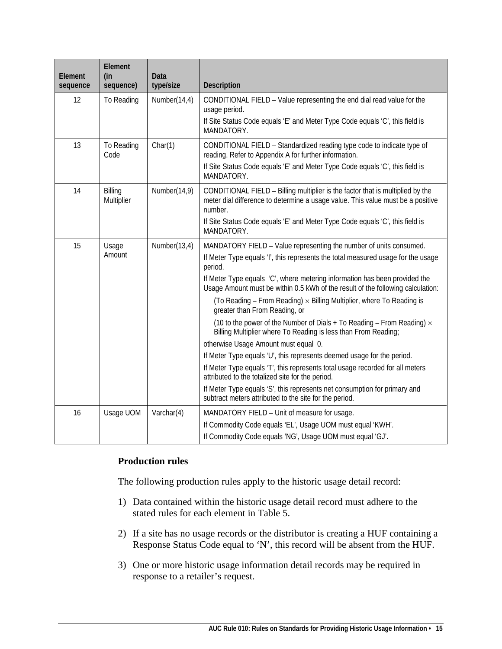| Element<br>sequence | Element<br>(in<br>sequence) | Data<br>type/size | <b>Description</b>                                                                                                                                                                                                                                                                                                                                                                                                                                                                                                                                                                                                                                                                                                                                                                                                                                                                                                                                                                                   |
|---------------------|-----------------------------|-------------------|------------------------------------------------------------------------------------------------------------------------------------------------------------------------------------------------------------------------------------------------------------------------------------------------------------------------------------------------------------------------------------------------------------------------------------------------------------------------------------------------------------------------------------------------------------------------------------------------------------------------------------------------------------------------------------------------------------------------------------------------------------------------------------------------------------------------------------------------------------------------------------------------------------------------------------------------------------------------------------------------------|
| 12                  | To Reading                  | Number(14,4)      | CONDITIONAL FIELD - Value representing the end dial read value for the<br>usage period.<br>If Site Status Code equals 'E' and Meter Type Code equals 'C', this field is<br>MANDATORY.                                                                                                                                                                                                                                                                                                                                                                                                                                                                                                                                                                                                                                                                                                                                                                                                                |
| 13                  | To Reading<br>Code          | Char(1)           | CONDITIONAL FIELD - Standardized reading type code to indicate type of<br>reading. Refer to Appendix A for further information.<br>If Site Status Code equals 'E' and Meter Type Code equals 'C', this field is<br>MANDATORY.                                                                                                                                                                                                                                                                                                                                                                                                                                                                                                                                                                                                                                                                                                                                                                        |
| 14                  | Billing<br>Multiplier       | Number(14,9)      | CONDITIONAL FIELD - Billing multiplier is the factor that is multiplied by the<br>meter dial difference to determine a usage value. This value must be a positive<br>number.<br>If Site Status Code equals 'E' and Meter Type Code equals 'C', this field is<br>MANDATORY.                                                                                                                                                                                                                                                                                                                                                                                                                                                                                                                                                                                                                                                                                                                           |
| 15                  | Usage<br>Amount             | Number(13,4)      | MANDATORY FIELD - Value representing the number of units consumed.<br>If Meter Type equals 'I', this represents the total measured usage for the usage<br>period.<br>If Meter Type equals 'C', where metering information has been provided the<br>Usage Amount must be within 0.5 kWh of the result of the following calculation:<br>(To Reading – From Reading) $\times$ Billing Multiplier, where To Reading is<br>greater than From Reading, or<br>(10 to the power of the Number of Dials + To Reading – From Reading) $\times$<br>Billing Multiplier where To Reading is less than From Reading;<br>otherwise Usage Amount must equal 0.<br>If Meter Type equals 'U', this represents deemed usage for the period.<br>If Meter Type equals 'T', this represents total usage recorded for all meters<br>attributed to the totalized site for the period.<br>If Meter Type equals 'S', this represents net consumption for primary and<br>subtract meters attributed to the site for the period. |
| 16                  | Usage UOM                   | Varchar(4)        | MANDATORY FIELD - Unit of measure for usage.<br>If Commodity Code equals 'EL', Usage UOM must equal 'KWH'.<br>If Commodity Code equals 'NG', Usage UOM must equal 'GJ'.                                                                                                                                                                                                                                                                                                                                                                                                                                                                                                                                                                                                                                                                                                                                                                                                                              |

### **Production rules**

The following production rules apply to the historic usage detail record:

- 1) Data contained within the historic usage detail record must adhere to the stated rules for each element in Table 5.
- 2) If a site has no usage records or the distributor is creating a HUF containing a Response Status Code equal to 'N', this record will be absent from the HUF.
- 3) One or more historic usage information detail records may be required in response to a retailer's request.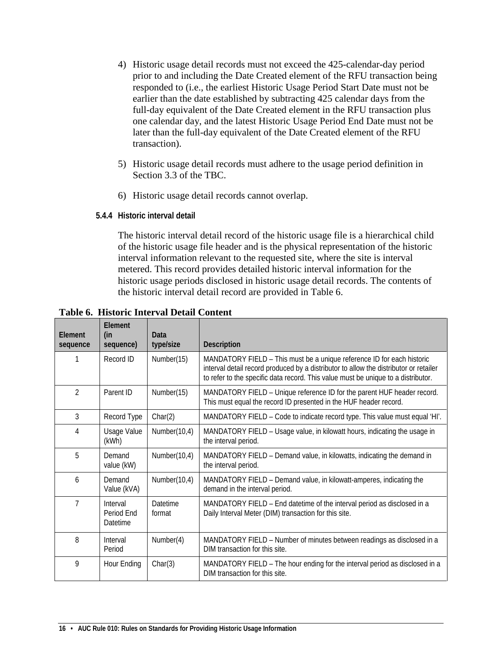- 4) Historic usage detail records must not exceed the 425-calendar-day period prior to and including the Date Created element of the RFU transaction being responded to (i.e., the earliest Historic Usage Period Start Date must not be earlier than the date established by subtracting 425 calendar days from the full-day equivalent of the Date Created element in the RFU transaction plus one calendar day, and the latest Historic Usage Period End Date must not be later than the full-day equivalent of the Date Created element of the RFU transaction).
- 5) Historic usage detail records must adhere to the usage period definition in Section 3.3 of the TBC.
- 6) Historic usage detail records cannot overlap.
- <span id="page-15-0"></span>**5.4.4 Historic interval detail**

The historic interval detail record of the historic usage file is a hierarchical child of the historic usage file header and is the physical representation of the historic interval information relevant to the requested site, where the site is interval metered. This record provides detailed historic interval information for the historic usage periods disclosed in historic usage detail records. The contents of the historic interval detail record are provided in Table 6.

| <b>Flement</b><br>sequence | Element<br>(in<br>sequence)        | Data<br>type/size  | <b>Description</b>                                                                                                                                                                                                                                   |
|----------------------------|------------------------------------|--------------------|------------------------------------------------------------------------------------------------------------------------------------------------------------------------------------------------------------------------------------------------------|
|                            | Record ID                          | Number(15)         | MANDATORY FIELD - This must be a unique reference ID for each historic<br>interval detail record produced by a distributor to allow the distributor or retailer<br>to refer to the specific data record. This value must be unique to a distributor. |
| 2                          | Parent ID                          | Number(15)         | MANDATORY FIELD - Unique reference ID for the parent HUF header record.<br>This must equal the record ID presented in the HUF header record.                                                                                                         |
| 3                          | Record Type                        | Char(2)            | MANDATORY FIELD - Code to indicate record type. This value must equal 'HI'.                                                                                                                                                                          |
| 4                          | Usage Value<br>(kWh)               | Number(10,4)       | MANDATORY FIELD - Usage value, in kilowatt hours, indicating the usage in<br>the interval period.                                                                                                                                                    |
| 5                          | Demand<br>value (kW)               | Number(10,4)       | MANDATORY FIELD - Demand value, in kilowatts, indicating the demand in<br>the interval period.                                                                                                                                                       |
| 6                          | Demand<br>Value (kVA)              | Number(10,4)       | MANDATORY FIELD - Demand value, in kilowatt-amperes, indicating the<br>demand in the interval period.                                                                                                                                                |
| $\overline{7}$             | Interval<br>Period End<br>Datetime | Datetime<br>format | MANDATORY FIELD - End datetime of the interval period as disclosed in a<br>Daily Interval Meter (DIM) transaction for this site.                                                                                                                     |
| 8                          | Interval<br>Period                 | Number(4)          | MANDATORY FIELD - Number of minutes between readings as disclosed in a<br>DIM transaction for this site.                                                                                                                                             |
| 9                          | Hour Ending                        | Char(3)            | MANDATORY FIELD - The hour ending for the interval period as disclosed in a<br>DIM transaction for this site.                                                                                                                                        |

<span id="page-15-1"></span>**Table 6. Historic Interval Detail Content**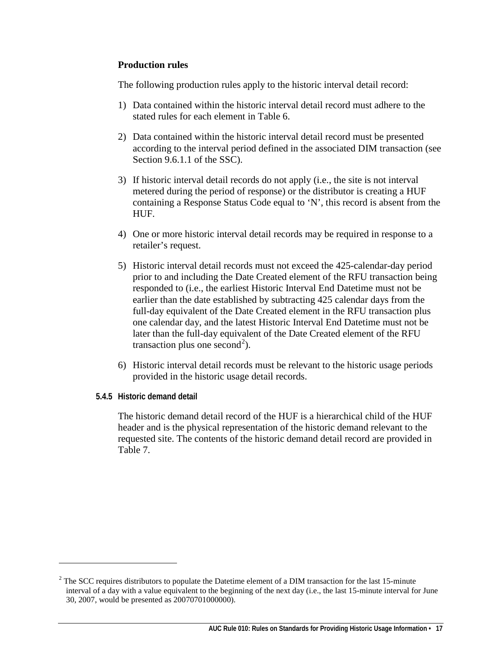#### **Production rules**

The following production rules apply to the historic interval detail record:

- 1) Data contained within the historic interval detail record must adhere to the stated rules for each element in Table 6.
- 2) Data contained within the historic interval detail record must be presented according to the interval period defined in the associated DIM transaction (see Section 9.6.1.1 of the SSC).
- 3) If historic interval detail records do not apply (i.e., the site is not interval metered during the period of response) or the distributor is creating a HUF containing a Response Status Code equal to 'N', this record is absent from the HUF.
- 4) One or more historic interval detail records may be required in response to a retailer's request.
- 5) Historic interval detail records must not exceed the 425-calendar-day period prior to and including the Date Created element of the RFU transaction being responded to (i.e., the earliest Historic Interval End Datetime must not be earlier than the date established by subtracting 425 calendar days from the full-day equivalent of the Date Created element in the RFU transaction plus one calendar day, and the latest Historic Interval End Datetime must not be later than the full-day equivalent of the Date Created element of the RFU transaction plus one second<sup>[2](#page-16-1)</sup>).
- 6) Historic interval detail records must be relevant to the historic usage periods provided in the historic usage detail records.
- <span id="page-16-0"></span>**5.4.5 Historic demand detail**

 $\ddot{\phantom{a}}$ 

The historic demand detail record of the HUF is a hierarchical child of the HUF header and is the physical representation of the historic demand relevant to the requested site. The contents of the historic demand detail record are provided in Table 7.

<span id="page-16-1"></span> $2$  The SCC requires distributors to populate the Datetime element of a DIM transaction for the last 15-minute interval of a day with a value equivalent to the beginning of the next day (i.e., the last 15-minute interval for June 30, 2007, would be presented as 20070701000000).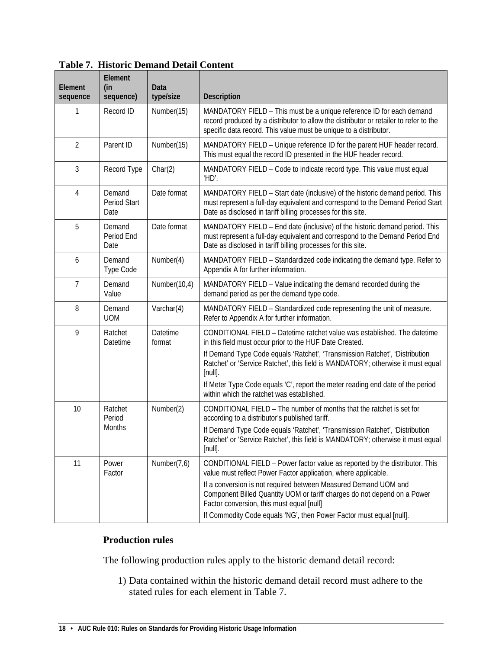| Element<br>sequence | Element<br>(in<br>sequence)    | Data<br>type/size  | Description                                                                                                                                                                                                                        |
|---------------------|--------------------------------|--------------------|------------------------------------------------------------------------------------------------------------------------------------------------------------------------------------------------------------------------------------|
| 1                   | Record ID                      | Number(15)         | MANDATORY FIELD - This must be a unique reference ID for each demand<br>record produced by a distributor to allow the distributor or retailer to refer to the<br>specific data record. This value must be unique to a distributor. |
| $\overline{2}$      | Parent ID                      | Number(15)         | MANDATORY FIELD - Unique reference ID for the parent HUF header record.<br>This must equal the record ID presented in the HUF header record.                                                                                       |
| 3                   | Record Type                    | Char(2)            | MANDATORY FIELD - Code to indicate record type. This value must equal<br>'HD'.                                                                                                                                                     |
| 4                   | Demand<br>Period Start<br>Date | Date format        | MANDATORY FIELD - Start date (inclusive) of the historic demand period. This<br>must represent a full-day equivalent and correspond to the Demand Period Start<br>Date as disclosed in tariff billing processes for this site.     |
| 5                   | Demand<br>Period End<br>Date   | Date format        | MANDATORY FIELD - End date (inclusive) of the historic demand period. This<br>must represent a full-day equivalent and correspond to the Demand Period End<br>Date as disclosed in tariff billing processes for this site.         |
| 6                   | Demand<br>Type Code            | Number(4)          | MANDATORY FIELD - Standardized code indicating the demand type. Refer to<br>Appendix A for further information.                                                                                                                    |
| 7                   | Demand<br>Value                | Number(10,4)       | MANDATORY FIELD - Value indicating the demand recorded during the<br>demand period as per the demand type code.                                                                                                                    |
| 8                   | Demand<br><b>UOM</b>           | Varchar(4)         | MANDATORY FIELD - Standardized code representing the unit of measure.<br>Refer to Appendix A for further information.                                                                                                              |
| 9                   | Ratchet<br>Datetime            | Datetime<br>format | CONDITIONAL FIELD - Datetime ratchet value was established. The datetime<br>in this field must occur prior to the HUF Date Created.                                                                                                |
|                     |                                |                    | If Demand Type Code equals 'Ratchet', 'Transmission Ratchet', 'Distribution<br>Ratchet' or 'Service Ratchet', this field is MANDATORY; otherwise it must equal<br>$[null]$ .                                                       |
|                     |                                |                    | If Meter Type Code equals 'C', report the meter reading end date of the period<br>within which the ratchet was established.                                                                                                        |
| 10                  | Ratchet<br>Period              | Number(2)          | CONDITIONAL FIELD - The number of months that the ratchet is set for<br>according to a distributor's published tariff.                                                                                                             |
|                     | <b>Months</b>                  |                    | If Demand Type Code equals 'Ratchet', 'Transmission Ratchet', 'Distribution<br>Ratchet' or 'Service Ratchet', this field is MANDATORY; otherwise it must equal<br>$[null]$ .                                                       |
| 11                  | Power<br>Factor                | Number(7,6)        | CONDITIONAL FIELD - Power factor value as reported by the distributor. This<br>value must reflect Power Factor application, where applicable.                                                                                      |
|                     |                                |                    | If a conversion is not required between Measured Demand UOM and<br>Component Billed Quantity UOM or tariff charges do not depend on a Power<br>Factor conversion, this must equal [null]                                           |
|                     |                                |                    | If Commodity Code equals 'NG', then Power Factor must equal [null].                                                                                                                                                                |

#### <span id="page-17-0"></span>**Table 7. Historic Demand Detail Content**

#### **Production rules**

The following production rules apply to the historic demand detail record:

1) Data contained within the historic demand detail record must adhere to the stated rules for each element in Table 7.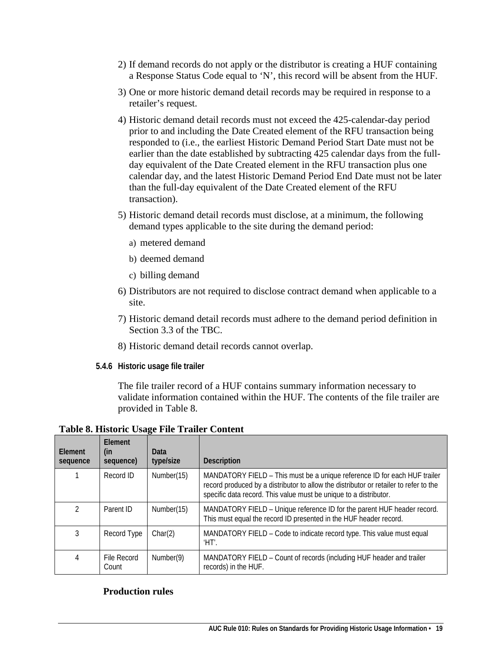- 2) If demand records do not apply or the distributor is creating a HUF containing a Response Status Code equal to 'N', this record will be absent from the HUF.
- 3) One or more historic demand detail records may be required in response to a retailer's request.
- 4) Historic demand detail records must not exceed the 425-calendar-day period prior to and including the Date Created element of the RFU transaction being responded to (i.e., the earliest Historic Demand Period Start Date must not be earlier than the date established by subtracting 425 calendar days from the fullday equivalent of the Date Created element in the RFU transaction plus one calendar day, and the latest Historic Demand Period End Date must not be later than the full-day equivalent of the Date Created element of the RFU transaction).
- 5) Historic demand detail records must disclose, at a minimum, the following demand types applicable to the site during the demand period:
	- a) metered demand
	- b) deemed demand
	- c) billing demand
- 6) Distributors are not required to disclose contract demand when applicable to a site.
- 7) Historic demand detail records must adhere to the demand period definition in Section 3.3 of the TBC.
- 8) Historic demand detail records cannot overlap.
- <span id="page-18-0"></span>**5.4.6 Historic usage file trailer**

The file trailer record of a HUF contains summary information necessary to validate information contained within the HUF. The contents of the file trailer are provided in Table 8.

<span id="page-18-1"></span>**Table 8. Historic Usage File Trailer Content**

| Element<br>sequence | <b>Flement</b><br>(in<br>sequence) | Data<br>type/size | <b>Description</b>                                                                                                                                                                                                                      |
|---------------------|------------------------------------|-------------------|-----------------------------------------------------------------------------------------------------------------------------------------------------------------------------------------------------------------------------------------|
|                     | Record ID                          | Number(15)        | MANDATORY FIELD - This must be a unique reference ID for each HUF trailer<br>record produced by a distributor to allow the distributor or retailer to refer to the<br>specific data record. This value must be unique to a distributor. |
| $\mathfrak{D}$      | Parent ID                          | Number(15)        | MANDATORY FIELD – Unique reference ID for the parent HUF header record.<br>This must equal the record ID presented in the HUF header record.                                                                                            |
| 3                   | Record Type                        | Char(2)           | MANDATORY FIELD - Code to indicate record type. This value must equal<br>'HT'.                                                                                                                                                          |
| 4                   | File Record<br>Count               | Number(9)         | MANDATORY FIELD – Count of records (including HUF header and trailer<br>records) in the HUF.                                                                                                                                            |

#### **Production rules**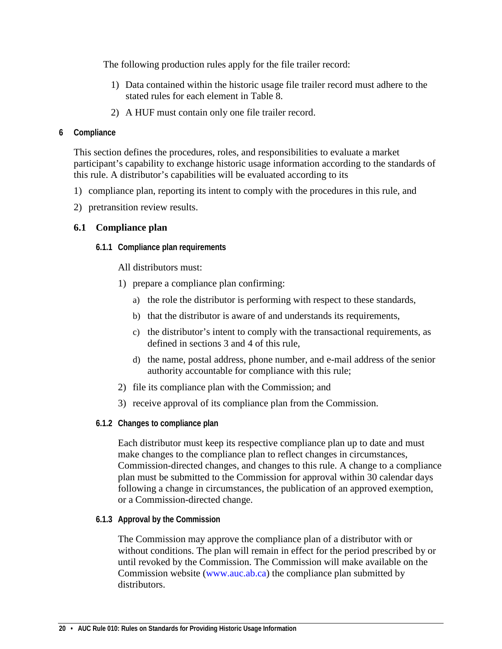The following production rules apply for the file trailer record:

- 1) Data contained within the historic usage file trailer record must adhere to the stated rules for each element in Table 8.
- 2) A HUF must contain only one file trailer record.

#### <span id="page-19-0"></span>**6 Compliance**

This section defines the procedures, roles, and responsibilities to evaluate a market participant's capability to exchange historic usage information according to the standards of this rule. A distributor's capabilities will be evaluated according to its

- 1) compliance plan, reporting its intent to comply with the procedures in this rule, and
- 2) pretransition review results.

### <span id="page-19-2"></span><span id="page-19-1"></span>**6.1 Compliance plan**

**6.1.1 Compliance plan requirements**

All distributors must:

- 1) prepare a compliance plan confirming:
	- a) the role the distributor is performing with respect to these standards,
	- b) that the distributor is aware of and understands its requirements,
	- c) the distributor's intent to comply with the transactional requirements, as defined in sections 3 and 4 of this rule,
	- d) the name, postal address, phone number, and e-mail address of the senior authority accountable for compliance with this rule;
- 2) file its compliance plan with the Commission; and
- 3) receive approval of its compliance plan from the Commission.
- <span id="page-19-3"></span>**6.1.2 Changes to compliance plan**

Each distributor must keep its respective compliance plan up to date and must make changes to the compliance plan to reflect changes in circumstances, Commission-directed changes, and changes to this rule. A change to a compliance plan must be submitted to the Commission for approval within 30 calendar days following a change in circumstances, the publication of an approved exemption, or a Commission-directed change.

<span id="page-19-4"></span>**6.1.3 Approval by the Commission**

The Commission may approve the compliance plan of a distributor with or without conditions. The plan will remain in effect for the period prescribed by or until revoked by the Commission. The Commission will make available on the Commission website [\(www.auc.ab.ca\)](http://www.eub.ca/) the compliance plan submitted by distributors.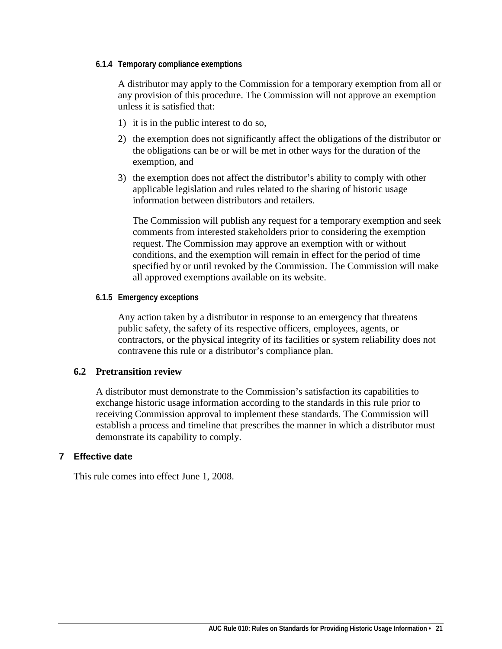#### <span id="page-20-0"></span>**6.1.4 Temporary compliance exemptions**

A distributor may apply to the Commission for a temporary exemption from all or any provision of this procedure. The Commission will not approve an exemption unless it is satisfied that:

- 1) it is in the public interest to do so,
- 2) the exemption does not significantly affect the obligations of the distributor or the obligations can be or will be met in other ways for the duration of the exemption, and
- 3) the exemption does not affect the distributor's ability to comply with other applicable legislation and rules related to the sharing of historic usage information between distributors and retailers.

The Commission will publish any request for a temporary exemption and seek comments from interested stakeholders prior to considering the exemption request. The Commission may approve an exemption with or without conditions, and the exemption will remain in effect for the period of time specified by or until revoked by the Commission. The Commission will make all approved exemptions available on its website.

#### <span id="page-20-1"></span>**6.1.5 Emergency exceptions**

Any action taken by a distributor in response to an emergency that threatens public safety, the safety of its respective officers, employees, agents, or contractors, or the physical integrity of its facilities or system reliability does not contravene this rule or a distributor's compliance plan.

#### <span id="page-20-2"></span>**6.2 Pretransition review**

A distributor must demonstrate to the Commission's satisfaction its capabilities to exchange historic usage information according to the standards in this rule prior to receiving Commission approval to implement these standards. The Commission will establish a process and timeline that prescribes the manner in which a distributor must demonstrate its capability to comply.

#### <span id="page-20-3"></span>**7 Effective date**

This rule comes into effect June 1, 2008.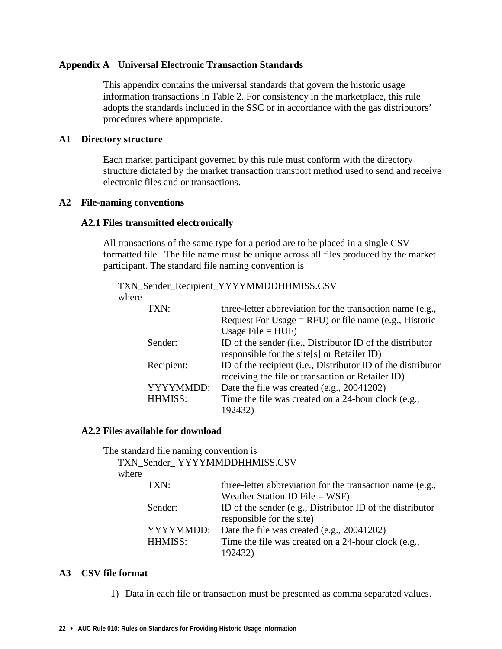#### <span id="page-21-0"></span>**Appendix A Universal Electronic Transaction Standards**

This appendix contains the universal standards that govern the historic usage information transactions in Table 2. For consistency in the marketplace, this rule adopts the standards included in the SSC or in accordance with the gas distributors' procedures where appropriate.

#### **A1 Directory structure**

Each market participant governed by this rule must conform with the directory structure dictated by the market transaction transport method used to send and receive electronic files and or transactions.

#### **A2 File-naming conventions**

#### **A2.1 Files transmitted electronically**

All transactions of the same type for a period are to be placed in a single CSV formatted file. The file name must be unique across all files produced by the market participant. The standard file naming convention is

TXN\_Sender\_Recipient\_YYYYMMDDHHMISS.CSV where

| TXN:           | three-letter abbreviation for the transaction name (e.g.,    |
|----------------|--------------------------------------------------------------|
|                | Request For Usage = RFU) or file name (e.g., Historic        |
|                | Usage $File = HUF$ )                                         |
| Sender:        | ID of the sender (i.e., Distributor ID of the distributor    |
|                | responsible for the site[s] or Retailer ID)                  |
| Recipient:     | ID of the recipient (i.e., Distributor ID of the distributor |
|                | receiving the file or transaction or Retailer ID)            |
| YYYYMMDD:      | Date the file was created (e.g., 20041202)                   |
| <b>HHMISS:</b> | Time the file was created on a 24-hour clock (e.g.,          |
|                | 192432)                                                      |

#### **A2.2 Files available for download**

The standard file naming convention is

TXN\_Sender\_ YYYYMMDDHHMISS.CSV

where

| TXN:      | three-letter abbreviation for the transaction name (e.g., |
|-----------|-----------------------------------------------------------|
|           | Weather Station ID File = $WSF$ )                         |
| Sender:   | ID of the sender (e.g., Distributor ID of the distributor |
|           | responsible for the site)                                 |
| YYYYMMDD: | Date the file was created (e.g., 20041202)                |
| HHMISS:   | Time the file was created on a 24-hour clock (e.g.,       |
|           | 192432)                                                   |

#### **A3 CSV file format**

1) Data in each file or transaction must be presented as comma separated values.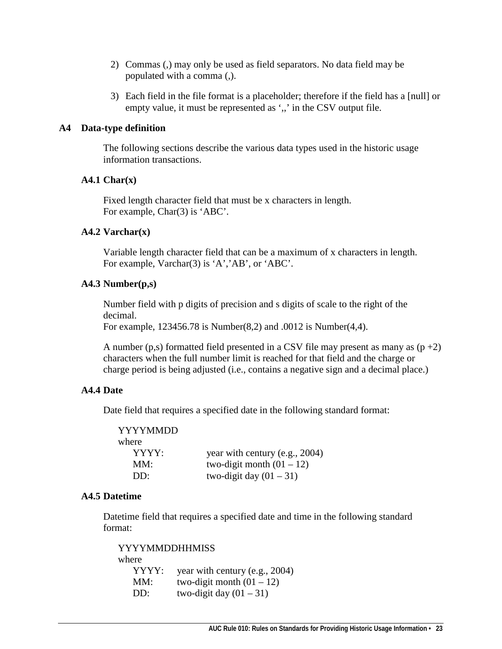- 2) Commas (,) may only be used as field separators. No data field may be populated with a comma (,).
- 3) Each field in the file format is a placeholder; therefore if the field has a [null] or empty value, it must be represented as ',,' in the CSV output file.

#### **A4 Data-type definition**

The following sections describe the various data types used in the historic usage information transactions.

#### **A4.1 Char(x)**

Fixed length character field that must be x characters in length. For example, Char(3) is 'ABC'.

#### **A4.2 Varchar(x)**

Variable length character field that can be a maximum of x characters in length. For example, Varchar(3) is 'A','AB', or 'ABC'.

#### **A4.3 Number(p,s)**

Number field with p digits of precision and s digits of scale to the right of the decimal.

For example, 123456.78 is Number(8,2) and .0012 is Number(4,4).

A number (p,s) formatted field presented in a CSV file may present as many as  $(p+2)$ characters when the full number limit is reached for that field and the charge or charge period is being adjusted (i.e., contains a negative sign and a decimal place.)

#### **A4.4 Date**

Date field that requires a specified date in the following standard format:

| YYYYMMDD     |                                |
|--------------|--------------------------------|
| where        |                                |
| YYYY:        | year with century (e.g., 2004) |
| MM:          | two-digit month $(01 – 12)$    |
| $DD^{\perp}$ | two-digit day $(01 – 31)$      |

#### **A4.5 Datetime**

Datetime field that requires a specified date and time in the following standard format:

YYYYMMDDHHMISS where YYYY: year with century (e.g., 2004) MM: two-digit month  $(01 – 12)$ DD: two-digit day  $(01 – 31)$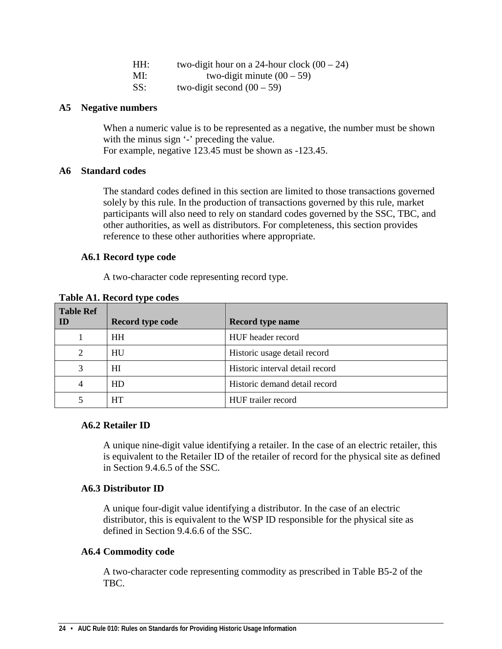| HH: | two-digit hour on a 24-hour clock $(00 – 24)$ |
|-----|-----------------------------------------------|
| MI: | two-digit minute $(00 – 59)$                  |
| SS: | two-digit second $(00-59)$                    |

#### **A5 Negative numbers**

When a numeric value is to be represented as a negative, the number must be shown with the minus sign '-' preceding the value. For example, negative 123.45 must be shown as -123.45.

#### **A6 Standard codes**

The standard codes defined in this section are limited to those transactions governed solely by this rule. In the production of transactions governed by this rule, market participants will also need to rely on standard codes governed by the SSC, TBC, and other authorities, as well as distributors. For completeness, this section provides reference to these other authorities where appropriate.

#### **A6.1 Record type code**

A two-character code representing record type.

| <b>Table Ref</b><br>ID | Record type code | <b>Record type name</b>         |
|------------------------|------------------|---------------------------------|
|                        | <b>HH</b>        | HUF header record               |
| 2                      | HU               | Historic usage detail record    |
|                        | HІ               | Historic interval detail record |
|                        | HD               | Historic demand detail record   |
|                        | HT               | HUF trailer record              |

<span id="page-23-0"></span>**Table A1. Record type codes**

#### **A6.2 Retailer ID**

A unique nine-digit value identifying a retailer. In the case of an electric retailer, this is equivalent to the Retailer ID of the retailer of record for the physical site as defined in Section 9.4.6.5 of the SSC.

#### **A6.3 Distributor ID**

A unique four-digit value identifying a distributor. In the case of an electric distributor, this is equivalent to the WSP ID responsible for the physical site as defined in Section 9.4.6.6 of the SSC.

#### **A6.4 Commodity code**

A two-character code representing commodity as prescribed in Table B5-2 of the TBC.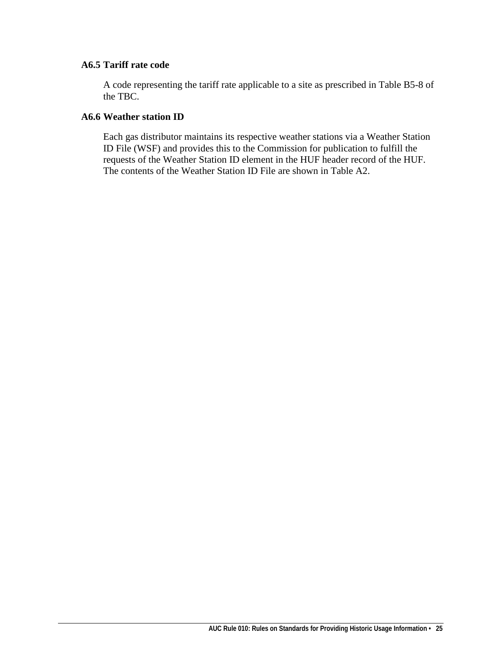### **A6.5 Tariff rate code**

A code representing the tariff rate applicable to a site as prescribed in Table B5-8 of the TBC.

#### **A6.6 Weather station ID**

Each gas distributor maintains its respective weather stations via a Weather Station ID File (WSF) and provides this to the Commission for publication to fulfill the requests of the Weather Station ID element in the HUF header record of the HUF. The contents of the Weather Station ID File are shown in Table A2.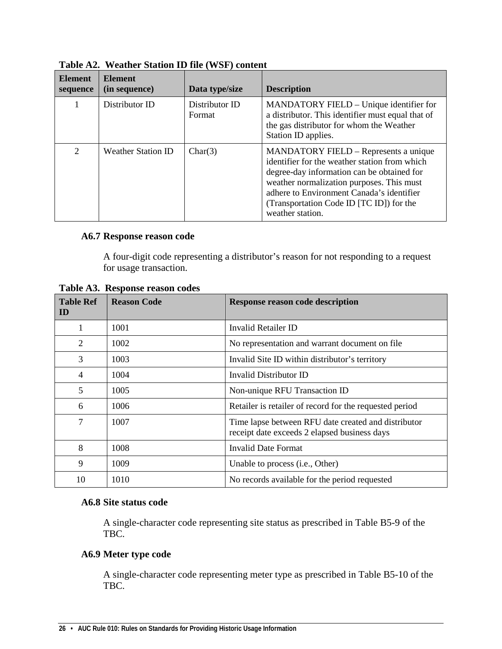| <b>Element</b><br>sequence | <b>Element</b><br>(in sequence) | Data type/size           | <b>Description</b>                                                                                                                                                                                                                                                                                    |
|----------------------------|---------------------------------|--------------------------|-------------------------------------------------------------------------------------------------------------------------------------------------------------------------------------------------------------------------------------------------------------------------------------------------------|
| 1                          | Distributor ID                  | Distributor ID<br>Format | MANDATORY FIELD – Unique identifier for<br>a distributor. This identifier must equal that of<br>the gas distributor for whom the Weather<br>Station ID applies.                                                                                                                                       |
| $\overline{2}$             | <b>Weather Station ID</b>       | Char(3)                  | <b>MANDATORY FIELD – Represents a unique</b><br>identifier for the weather station from which<br>degree-day information can be obtained for<br>weather normalization purposes. This must<br>adhere to Environment Canada's identifier<br>(Transportation Code ID [TC ID]) for the<br>weather station. |

<span id="page-25-0"></span>**Table A2. Weather Station ID file (WSF) content**

#### **A6.7 Response reason code**

A four-digit code representing a distributor's reason for not responding to a request for usage transaction.

| <b>Table Ref</b><br>ID | <b>Reason Code</b> | <b>Response reason code description</b>                                                             |
|------------------------|--------------------|-----------------------------------------------------------------------------------------------------|
| 1                      | 1001               | Invalid Retailer ID                                                                                 |
| 2                      | 1002               | No representation and warrant document on file.                                                     |
| 3                      | 1003               | Invalid Site ID within distributor's territory                                                      |
| 4                      | 1004               | Invalid Distributor ID                                                                              |
| 5                      | 1005               | Non-unique RFU Transaction ID                                                                       |
| 6                      | 1006               | Retailer is retailer of record for the requested period                                             |
| 7                      | 1007               | Time lapse between RFU date created and distributor<br>receipt date exceeds 2 elapsed business days |
| 8                      | 1008               | Invalid Date Format                                                                                 |
| 9                      | 1009               | Unable to process (i.e., Other)                                                                     |
| 10                     | 1010               | No records available for the period requested                                                       |

<span id="page-25-1"></span>**Table A3. Response reason codes**

#### **A6.8 Site status code**

A single-character code representing site status as prescribed in Table B5-9 of the TBC.

#### **A6.9 Meter type code**

A single-character code representing meter type as prescribed in Table B5-10 of the TBC.